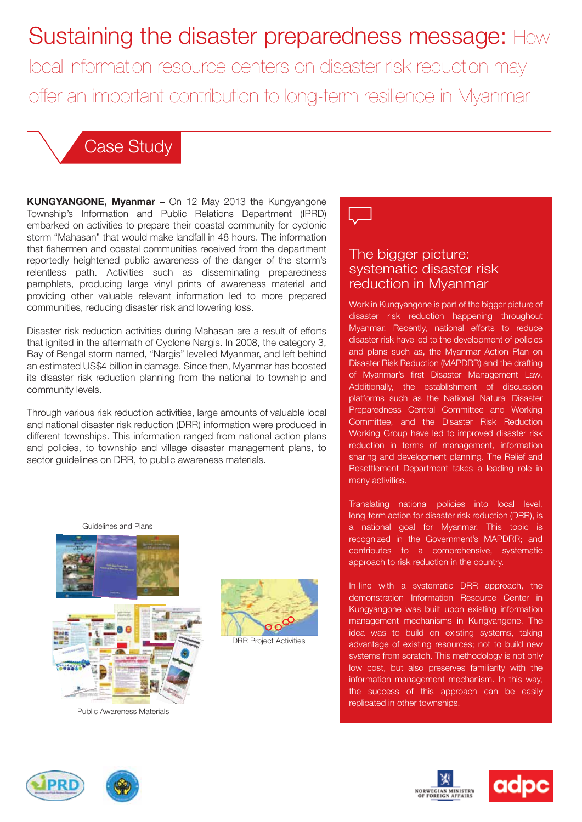# Sustaining the disaster preparedness message: How

local information resource centers on disaster risk reduction may offer an important contribution to long-term resilience in Myanmar

### Case Study

**KUNGYANGONE, Myanmar –** On 12 May 2013 the Kungyangone Township's Information and Public Relations Department (IPRD) embarked on activities to prepare their coastal community for cyclonic storm "Mahasan" that would make landfall in 48 hours. The information that fishermen and coastal communities received from the department reportedly heightened public awareness of the danger of the storm's relentless path. Activities such as disseminating preparedness pamphlets, producing large vinyl prints of awareness material and providing other valuable relevant information led to more prepared communities, reducing disaster risk and lowering loss.

Disaster risk reduction activities during Mahasan are a result of efforts that ignited in the aftermath of Cyclone Nargis. In 2008, the category 3, Bay of Bengal storm named, "Nargis" levelled Myanmar, and left behind an estimated US\$4 billion in damage. Since then, Myanmar has boosted its disaster risk reduction planning from the national to township and community levels.

Through various risk reduction activities, large amounts of valuable local and national disaster risk reduction (DRR) information were produced in different townships. This information ranged from national action plans and policies, to township and village disaster management plans, to sector guidelines on DRR, to public awareness materials.

Management uur<br>الله Guidelines and Plans Plans **Project Plan:**



Public Awareness Materials





#### The bigger picture: systematic disaster risk reduction in Myanmar

Committee, and the Disaster Risk Reduction Work in Kungyangone is part of the bigger picture of disaster risk reduction happening throughout Myanmar. Recently, national efforts to reduce disaster risk have led to the development of policies and plans such as, the Myanmar Action Plan on Disaster Risk Reduction (MAPDRR) and the drafting of Myanmar's first Disaster Management Law. Additionally, the establishment of discussion platforms such as the National Natural Disaster Preparedness Central Committee and Working Working Group have led to improved disaster risk reduction in terms of management, information sharing and development planning. The Relief and Resettlement Department takes a leading role in many activities.

Translating national policies into local level, long-term action for disaster risk reduction (DRR), is a national goal for Myanmar. This topic is recognized in the Government's MAPDRR; and contributes to a comprehensive, systematic approach to risk reduction in the country.

In-line with a systematic DRR approach, the demonstration Information Resource Center in Kungyangone was built upon existing information management mechanisms in Kungyangone. The idea was to build on existing systems, taking advantage of existing resources; not to build new systems from scratch. This methodology is not only low cost, but also preserves familiarity with the information management mechanism. In this way, the success of this approach can be easily replicated in other townships.







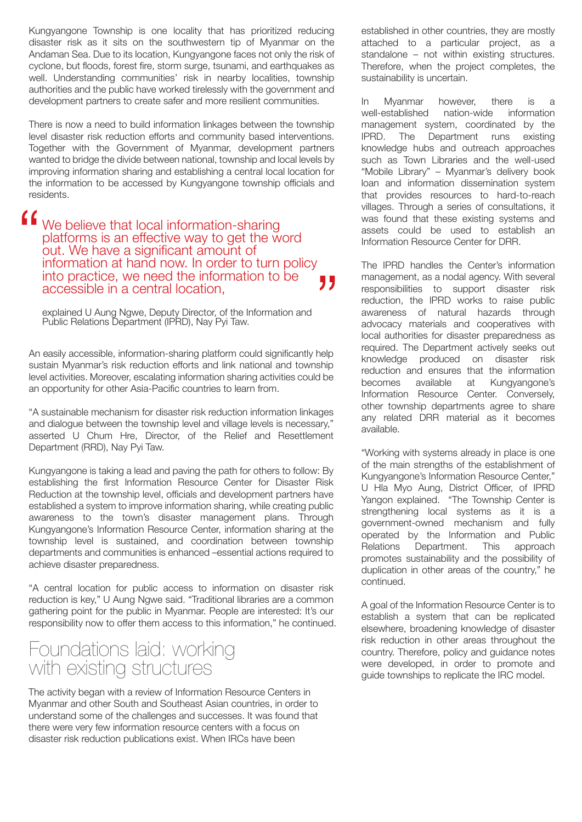Kungyangone Township is one locality that has prioritized reducing disaster risk as it sits on the southwestern tip of Myanmar on the Andaman Sea. Due to its location, Kungyangone faces not only the risk of cyclone, but floods, forest fire, storm surge, tsunami, and earthquakes as well. Understanding communities' risk in nearby localities, township authorities and the public have worked tirelessly with the government and development partners to create safer and more resilient communities.

There is now a need to build information linkages between the township level disaster risk reduction efforts and community based interventions. Together with the Government of Myanmar, development partners wanted to bridge the divide between national, township and local levels by improving information sharing and establishing a central local location for the information to be accessed by Kungyangone township officials and residents.

We believe that local information-sharing platforms is an effective way to get the word out. We have a significant amount of information at hand now. In order to turn policy into practice, we need the information to be " accessible in a central location,

explained U Aung Ngwe, Deputy Director, of the Information and Public Relations Department (IPRD), Nay Pyi Taw.

An easily accessible, information-sharing platform could significantly help sustain Myanmar's risk reduction efforts and link national and township level activities. Moreover, escalating information sharing activities could be an opportunity for other Asia-Pacific countries to learn from.

"A sustainable mechanism for disaster risk reduction information linkages and dialogue between the township level and village levels is necessary," asserted U Chum Hre, Director, of the Relief and Resettlement Department (RRD), Nay Pyi Taw.

Kungyangone is taking a lead and paving the path for others to follow: By establishing the first Information Resource Center for Disaster Risk Reduction at the township level, officials and development partners have established a system to improve information sharing, while creating public awareness to the town's disaster management plans. Through Kungyangone's Information Resource Center, information sharing at the township level is sustained, and coordination between township departments and communities is enhanced –essential actions required to achieve disaster preparedness.

"A central location for public access to information on disaster risk reduction is key," U Aung Ngwe said. "Traditional libraries are a common gathering point for the public in Myanmar. People are interested: It's our responsibility now to offer them access to this information," he continued.

#### Foundations laid: working with existing structures

The activity began with a review of Information Resource Centers in Myanmar and other South and Southeast Asian countries, in order to understand some of the challenges and successes. It was found that there were very few information resource centers with a focus on disaster risk reduction publications exist. When IRCs have been

established in other countries, they are mostly attached to a particular project, as a standalone – not within existing structures. Therefore, when the project completes, the sustainability is uncertain.

In Myanmar however, there is a well-established nation-wide information management system, coordinated by the IPRD. The Department runs existing knowledge hubs and outreach approaches such as Town Libraries and the well-used "Mobile Library" – Myanmar's delivery book loan and information dissemination system that provides resources to hard-to-reach villages. Through a series of consultations, it was found that these existing systems and assets could be used to establish an Information Resource Center for DRR.

The IPRD handles the Center's information management, as a nodal agency. With several responsibilities to support disaster risk reduction, the IPRD works to raise public awareness of natural hazards through advocacy materials and cooperatives with local authorities for disaster preparedness as required. The Department actively seeks out knowledge produced on disaster risk reduction and ensures that the information becomes available at Kungyangone's Information Resource Center. Conversely, other township departments agree to share any related DRR material as it becomes available.

"Working with systems already in place is one of the main strengths of the establishment of Kungyangone's Information Resource Center," U Hla Myo Aung, District Officer, of IPRD Yangon explained. "The Township Center is strengthening local systems as it is a government-owned mechanism and fully operated by the Information and Public Relations Department. This approach promotes sustainability and the possibility of duplication in other areas of the country," he continued.

A goal of the Information Resource Center is to establish a system that can be replicated elsewhere, broadening knowledge of disaster risk reduction in other areas throughout the country. Therefore, policy and guidance notes were developed, in order to promote and guide townships to replicate the IRC model.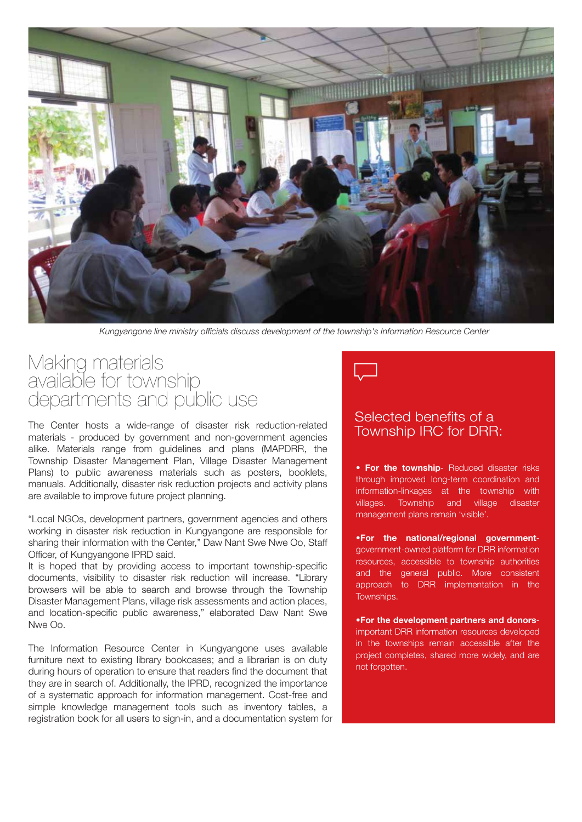

*Kungyangone line ministry officials discuss development of the township's Information Resource Center*

#### Making materials available for township departments and public use

The Center hosts a wide-range of disaster risk reduction-related materials - produced by government and non-government agencies alike. Materials range from guidelines and plans (MAPDRR, the Township Disaster Management Plan, Village Disaster Management Plans) to public awareness materials such as posters, booklets, manuals. Additionally, disaster risk reduction projects and activity plans are available to improve future project planning.

"Local NGOs, development partners, government agencies and others working in disaster risk reduction in Kungyangone are responsible for sharing their information with the Center," Daw Nant Swe Nwe Oo, Staff Officer, of Kungyangone IPRD said.

It is hoped that by providing access to important township-specific documents, visibility to disaster risk reduction will increase. "Library browsers will be able to search and browse through the Township Disaster Management Plans, village risk assessments and action places, and location-specific public awareness," elaborated Daw Nant Swe Nwe Oo.

The Information Resource Center in Kungyangone uses available furniture next to existing library bookcases; and a librarian is on duty during hours of operation to ensure that readers find the document that they are in search of. Additionally, the IPRD, recognized the importance of a systematic approach for information management. Cost-free and simple knowledge management tools such as inventory tables, a registration book for all users to sign-in, and a documentation system for



#### Selected benefits of a Township IRC for DRR:

• **For the township**- Reduced disaster risks through improved long-term coordination and information-linkages at the township with villages. Township and village disaster management plans remain 'visible'.

•**For the national/regional government**government-owned platform for DRR information resources, accessible to township authorities and the general public. More consistent approach to DRR implementation in the Townships.

•**For the development partners and donors**important DRR information resources developed in the townships remain accessible after the project completes, shared more widely, and are not forgotten.